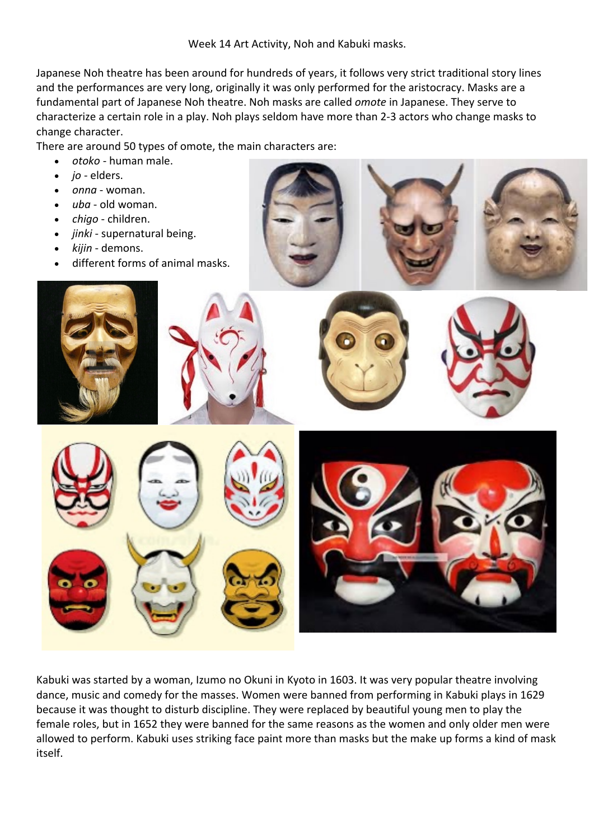Week 14 Art Activity, Noh and Kabuki masks.

Japanese Noh theatre has been around for hundreds of years, it follows very strict traditional story lines and the performances are very long, originally it was only performed for the aristocracy. Masks are a fundamental part of Japanese Noh theatre. Noh masks are called *omote* in Japanese. They serve to characterize a certain role in a play. Noh plays seldom have more than 2-3 actors who change masks to change character.

There are around 50 types of omote, the main characters are:

- *otoko* human male.
- *jo* elders.
- *onna* woman.
- *uba* old woman.
- *chigo* children.
- *jinki* supernatural being.
- *kijin* demons.
- different forms of animal masks.





Kabuki was started by a woman, Izumo no Okuni in Kyoto in 1603. It was very popular theatre involving dance, music and comedy for the masses. Women were banned from performing in Kabuki plays in 1629 because it was thought to disturb discipline. They were replaced by beautiful young men to play the female roles, but in 1652 they were banned for the same reasons as the women and only older men were allowed to perform. Kabuki uses striking face paint more than masks but the make up forms a kind of mask itself.